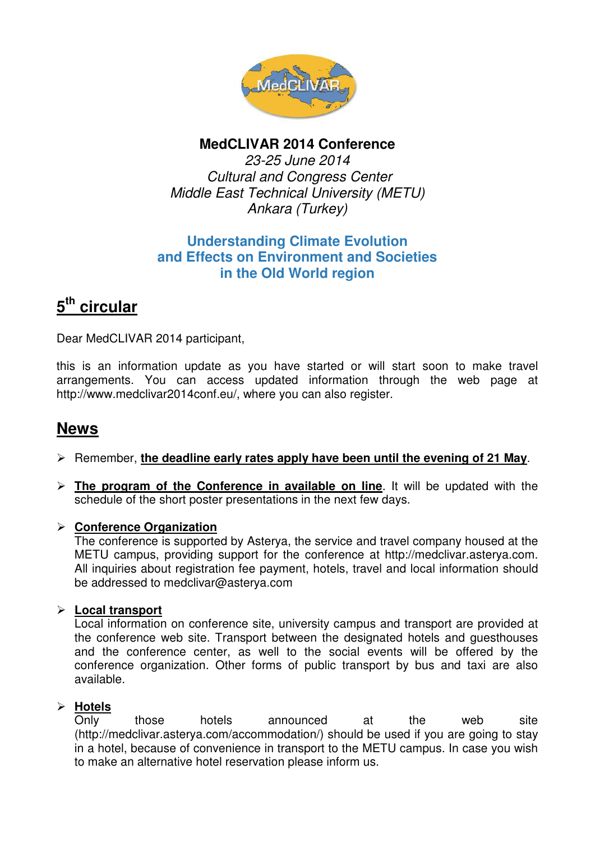

## **MedCLIVAR 2014 Conference**

23-25 June 2014 Cultural and Congress Center Middle East Technical University (METU) Ankara (Turkey)

## **Understanding Climate Evolution and Effects on Environment and Societies in the Old World region**

# **5 th circular**

Dear MedCLIVAR 2014 participant,

this is an information update as you have started or will start soon to make travel arrangements. You can access updated information through the web page at http://www.medclivar2014conf.eu/, where you can also register.

# **News**

#### Remember, **the deadline early rates apply have been until the evening of 21 May**.

**The program of the Conference in available on line**. It will be updated with the schedule of the short poster presentations in the next few days.

#### **Conference Organization**

The conference is supported by Asterya, the service and travel company housed at the METU campus, providing support for the conference at http://medclivar.asterya.com. All inquiries about registration fee payment, hotels, travel and local information should be addressed to medclivar@asterya.com

#### **Local transport**

Local information on conference site, university campus and transport are provided at the conference web site. Transport between the designated hotels and guesthouses and the conference center, as well to the social events will be offered by the conference organization. Other forms of public transport by bus and taxi are also available.

#### **Hotels**

Only those hotels announced at the web site (http://medclivar.asterya.com/accommodation/) should be used if you are going to stay in a hotel, because of convenience in transport to the METU campus. In case you wish to make an alternative hotel reservation please inform us.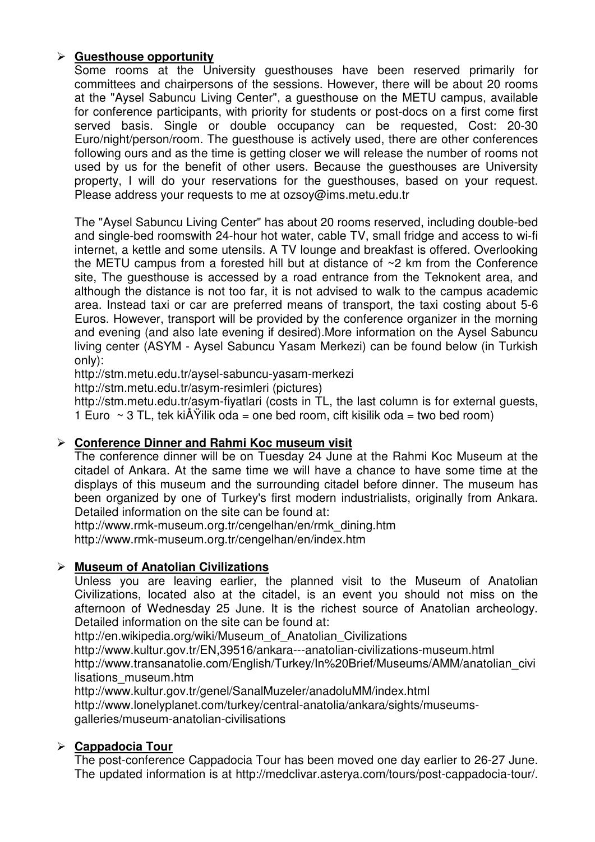#### **Guesthouse opportunity**

Some rooms at the University guesthouses have been reserved primarily for committees and chairpersons of the sessions. However, there will be about 20 rooms at the "Aysel Sabuncu Living Center", a guesthouse on the METU campus, available for conference participants, with priority for students or post-docs on a first come first served basis. Single or double occupancy can be requested, Cost: 20-30 Euro/night/person/room. The guesthouse is actively used, there are other conferences following ours and as the time is getting closer we will release the number of rooms not used by us for the benefit of other users. Because the guesthouses are University property, I will do your reservations for the guesthouses, based on your request. Please address your requests to me at ozsoy@ims.metu.edu.tr

The "Aysel Sabuncu Living Center" has about 20 rooms reserved, including double-bed and single-bed roomswith 24-hour hot water, cable TV, small fridge and access to wi-fi internet, a kettle and some utensils. A TV lounge and breakfast is offered. Overlooking the METU campus from a forested hill but at distance of ~2 km from the Conference site, The guesthouse is accessed by a road entrance from the Teknokent area, and although the distance is not too far, it is not advised to walk to the campus academic area. Instead taxi or car are preferred means of transport, the taxi costing about 5-6 Euros. However, transport will be provided by the conference organizer in the morning and evening (and also late evening if desired).More information on the Aysel Sabuncu living center (ASYM - Aysel Sabuncu Yasam Merkezi) can be found below (in Turkish only):

http://stm.metu.edu.tr/aysel-sabuncu-yasam-merkezi

http://stm.metu.edu.tr/asym-resimleri (pictures)

http://stm.metu.edu.tr/asym-fiyatlari (costs in TL, the last column is for external guests, 1 Euro  $\sim$  3 TL, tek kiÅ Yilik oda = one bed room, cift kisilik oda = two bed room)

#### **Conference Dinner and Rahmi Koc museum visit**

The conference dinner will be on Tuesday 24 June at the Rahmi Koc Museum at the citadel of Ankara. At the same time we will have a chance to have some time at the displays of this museum and the surrounding citadel before dinner. The museum has been organized by one of Turkey's first modern industrialists, originally from Ankara. Detailed information on the site can be found at:

http://www.rmk-museum.org.tr/cengelhan/en/rmk\_dining.htm http://www.rmk-museum.org.tr/cengelhan/en/index.htm

#### **Museum of Anatolian Civilizations**

Unless you are leaving earlier, the planned visit to the Museum of Anatolian Civilizations, located also at the citadel, is an event you should not miss on the afternoon of Wednesday 25 June. It is the richest source of Anatolian archeology. Detailed information on the site can be found at:

http://en.wikipedia.org/wiki/Museum\_of\_Anatolian\_Civilizations

http://www.kultur.gov.tr/EN,39516/ankara---anatolian-civilizations-museum.html

http://www.transanatolie.com/English/Turkey/In%20Brief/Museums/AMM/anatolian\_civi lisations\_museum.htm

http://www.kultur.gov.tr/genel/SanalMuzeler/anadoluMM/index.html http://www.lonelyplanet.com/turkey/central-anatolia/ankara/sights/museums-

galleries/museum-anatolian-civilisations

#### **Cappadocia Tour**

The post-conference Cappadocia Tour has been moved one day earlier to 26-27 June. The updated information is at http://medclivar.asterya.com/tours/post-cappadocia-tour/.